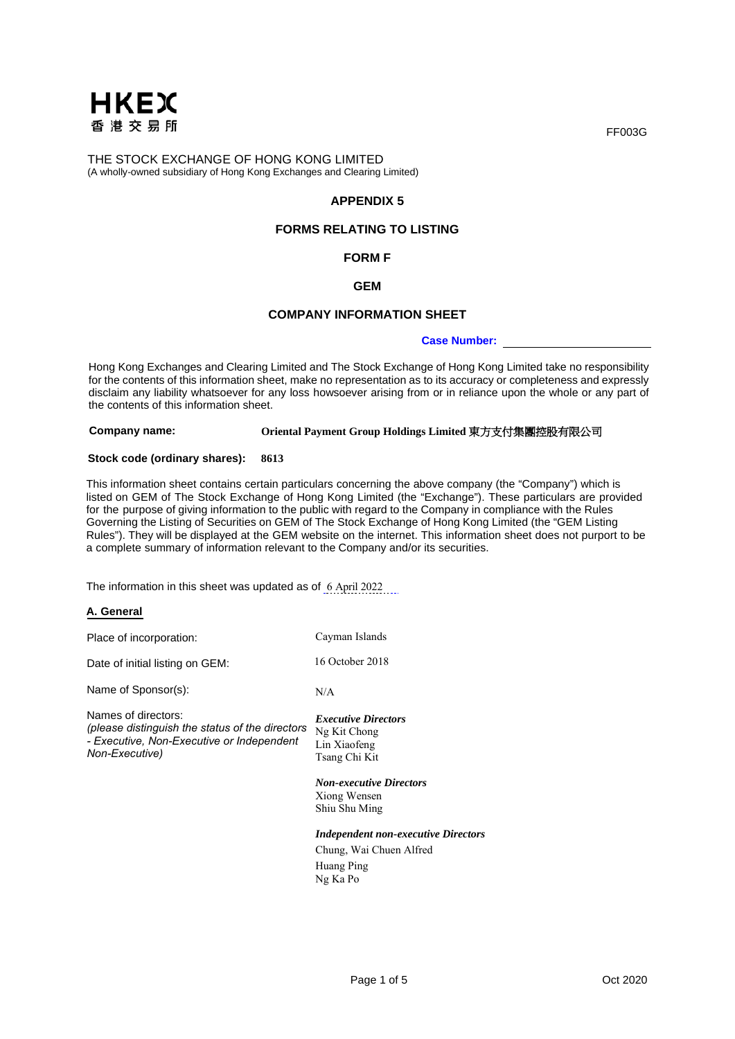

## **APPENDIX 5**

# **FORMS RELATING TO LISTING**

#### **FORM F**

### **GEM**

#### **COMPANY INFORMATION SHEET**

#### **Case Number:**

Hong Kong Exchanges and Clearing Limited and The Stock Exchange of Hong Kong Limited take no responsibility for the contents of this information sheet, make no representation as to its accuracy or completeness and expressly disclaim any liability whatsoever for any loss howsoever arising from or in reliance upon the whole or any part of the contents of this information sheet.

**Company name: Oriental Payment Group Holdings Limited** 東方支付集團控股有限公司

#### **Stock code (ordinary shares): 8613**

This information sheet contains certain particulars concerning the above company (the "Company") which is listed on GEM of The Stock Exchange of Hong Kong Limited (the "Exchange"). These particulars are provided for the purpose of giving information to the public with regard to the Company in compliance with the Rules Governing the Listing of Securities on GEM of The Stock Exchange of Hong Kong Limited (the "GEM Listing Rules"). They will be displayed at the GEM website on the internet. This information sheet does not purport to be a complete summary of information relevant to the Company and/or its securities.

The information in this sheet was updated as of 6 April 2022

## **A. General**

| Place of incorporation:                                                                                                               | Cayman Islands                                                                     |
|---------------------------------------------------------------------------------------------------------------------------------------|------------------------------------------------------------------------------------|
| Date of initial listing on GEM:                                                                                                       | 16 October 2018                                                                    |
| Name of Sponsor(s):                                                                                                                   | N/A                                                                                |
| Names of directors:<br>(please distinguish the status of the directors<br>- Executive, Non-Executive or Independent<br>Non-Executive) | <i><b>Executive Directors</b></i><br>Ng Kit Chong<br>Lin Xiaofeng<br>Tsang Chi Kit |
|                                                                                                                                       | <b>Non-executive Directors</b><br>Xiong Wensen<br>Shiu Shu Ming                    |
|                                                                                                                                       | <b>Independent non-executive Directors</b>                                         |
|                                                                                                                                       | Chung, Wai Chuen Alfred                                                            |
|                                                                                                                                       | Huang Ping                                                                         |

Ng Ka Po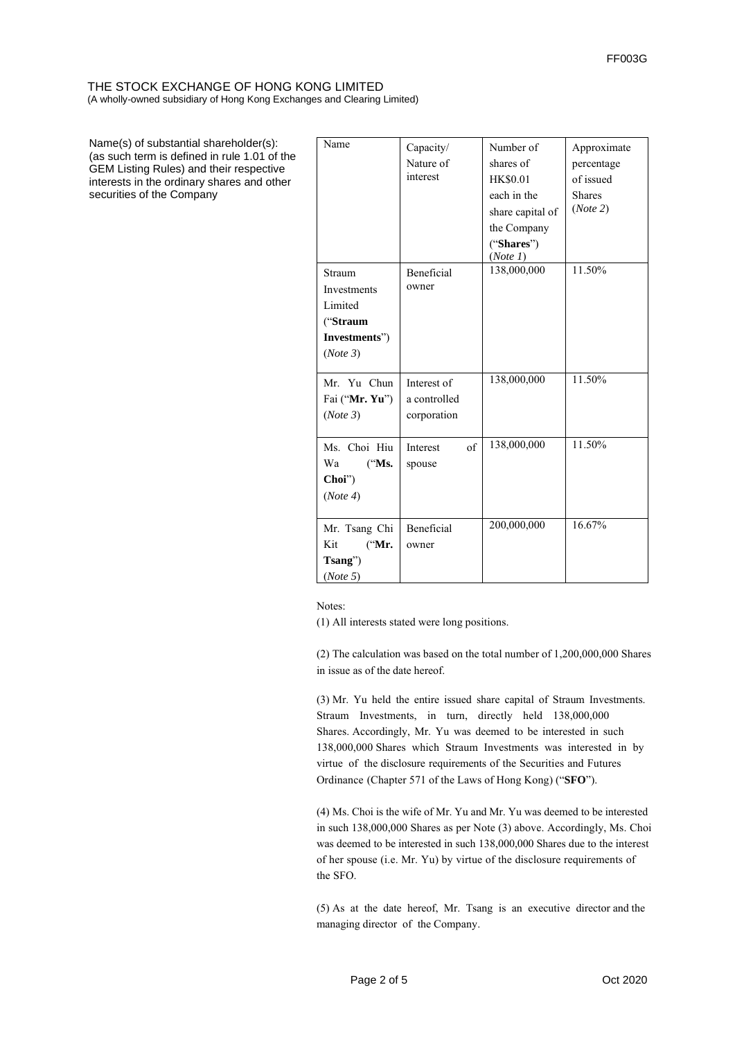Name(s) of substantial shareholder(s): (as such term is defined in rule 1.01 of the GEM Listing Rules) and their respective interests in the ordinary shares and other securities of the Company

| Name                                                                      | Capacity/<br>Nature of<br>interest         | Number of<br>shares of<br><b>HK\$0.01</b><br>each in the<br>share capital of<br>the Company | Approximate<br>percentage<br>of issued<br><b>Shares</b><br>(Note 2) |
|---------------------------------------------------------------------------|--------------------------------------------|---------------------------------------------------------------------------------------------|---------------------------------------------------------------------|
|                                                                           |                                            | ("Shares")<br>(Note 1)                                                                      |                                                                     |
| Straum<br>Investments<br>Limited<br>("Straum<br>Investments")<br>(Note 3) | Beneficial<br>owner                        | 138,000,000                                                                                 | 11.50%                                                              |
| Mr. Yu Chun<br>Fai ("Mr. Yu")<br>(Note 3)                                 | Interest of<br>a controlled<br>corporation | 138,000,000                                                                                 | 11.50%                                                              |
| Ms. Choi Hiu<br>Wa<br>("Ms.<br>Choi")<br>(Note 4)                         | of<br>Interest<br>spouse                   | 138,000,000                                                                                 | 11.50%                                                              |
| Mr. Tsang Chi<br>Kit<br>("Mr.<br>Tsang")<br>(Note 5)                      | <b>Beneficial</b><br>owner                 | 200,000,000                                                                                 | 16.67%                                                              |

Notes:

(1) All interests stated were long positions.

(2) The calculation was based on the total number of 1,200,000,000 Shares in issue as of the date hereof.

(3) Mr. Yu held the entire issued share capital of Straum Investments. Straum Investments, in turn, directly held 138,000,000 Shares. Accordingly, Mr. Yu was deemed to be interested in such 138,000,000 Shares which Straum Investments was interested in by virtue of the disclosure requirements of the Securities and Futures Ordinance (Chapter 571 of the Laws of Hong Kong) ("**SFO**").

(4) Ms. Choi is the wife of Mr. Yu and Mr. Yu was deemed to be interested in such 138,000,000 Shares as per Note (3) above. Accordingly, Ms. Choi was deemed to be interested in such 138,000,000 Shares due to the interest of her spouse (i.e. Mr. Yu) by virtue of the disclosure requirements of the SFO.

(5) As at the date hereof, Mr. Tsang is an executive director and the managing director of the Company.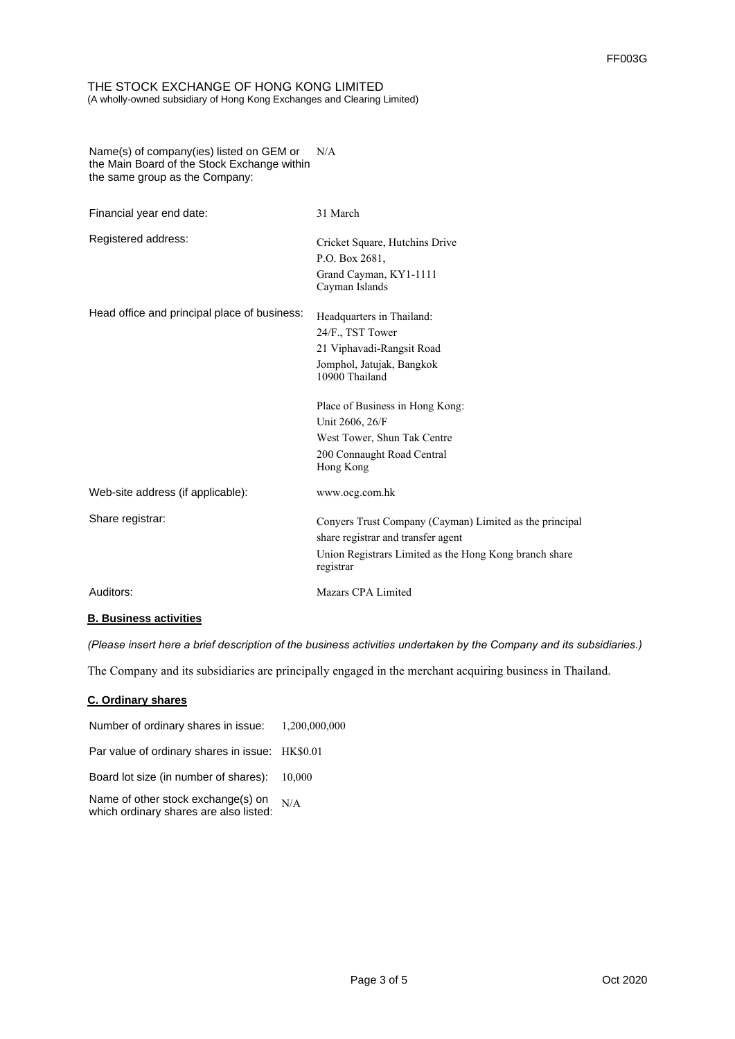#### N/A Name(s) of company(ies) listed on GEM or the Main Board of the Stock Exchange within the same group as the Company:

| Financial year end date:                     | 31 March                                                            |
|----------------------------------------------|---------------------------------------------------------------------|
| Registered address:                          | Cricket Square, Hutchins Drive                                      |
|                                              | P.O. Box 2681,                                                      |
|                                              | Grand Cayman, KY1-1111                                              |
|                                              | Cayman Islands                                                      |
| Head office and principal place of business: | Headquarters in Thailand:                                           |
|                                              | 24/F., TST Tower                                                    |
|                                              | 21 Viphavadi-Rangsit Road                                           |
|                                              | Jomphol, Jatujak, Bangkok<br>10900 Thailand                         |
|                                              | Place of Business in Hong Kong:                                     |
|                                              | Unit 2606, 26/F                                                     |
|                                              | West Tower, Shun Tak Centre                                         |
|                                              | 200 Connaught Road Central<br>Hong Kong                             |
| Web-site address (if applicable):            | www.ocg.com.hk                                                      |
| Share registrar:                             | Conyers Trust Company (Cayman) Limited as the principal             |
|                                              | share registrar and transfer agent                                  |
|                                              | Union Registrars Limited as the Hong Kong branch share<br>registrar |
| Auditors:                                    | Mazars CPA Limited                                                  |

# **B. Business activities**

*(Please insert here a brief description of the business activities undertaken by the Company and its subsidiaries.)*

The Company and its subsidiaries are principally engaged in the merchant acquiring business in Thailand.

## **C. Ordinary shares**

| Number of ordinary shares in issue: 1,200,000,000                                |  |
|----------------------------------------------------------------------------------|--|
| Par value of ordinary shares in issue: HK\$0.01                                  |  |
| Board lot size (in number of shares): 10,000                                     |  |
| Name of other stock exchange(s) on N/A<br>which ordinary shares are also listed: |  |
|                                                                                  |  |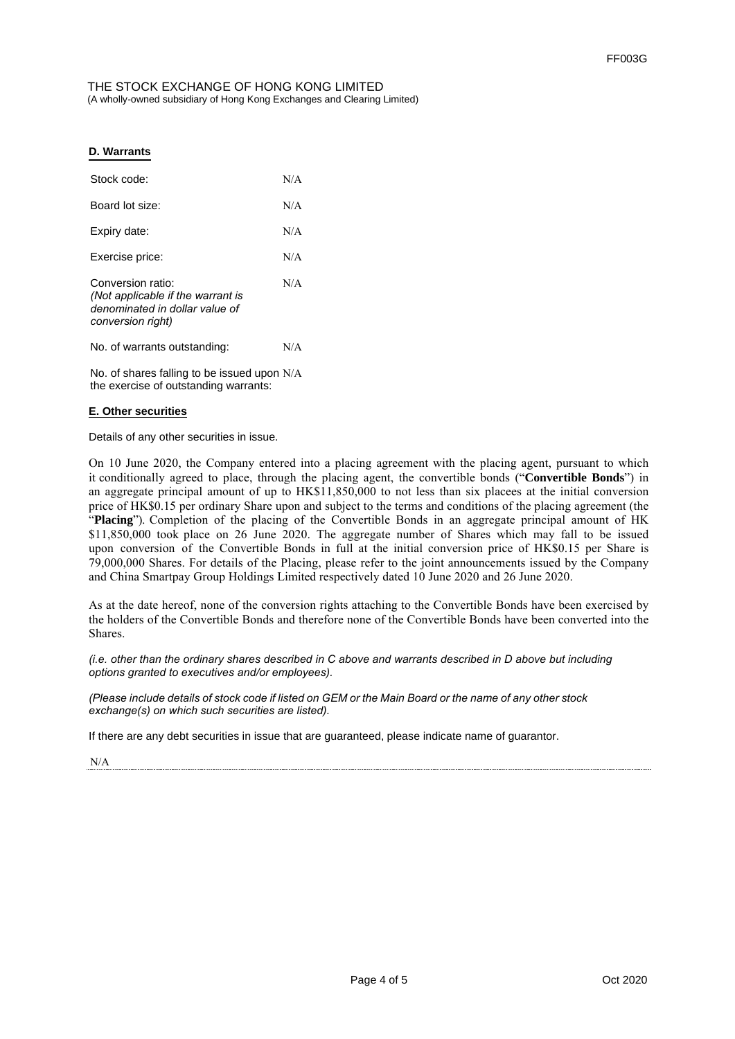## **D. Warrants**

| Stock code:                                                                                                   | N/A |
|---------------------------------------------------------------------------------------------------------------|-----|
| Board lot size:                                                                                               | N/A |
| Expiry date:                                                                                                  | N/A |
| Exercise price:                                                                                               | N/A |
| Conversion ratio:<br>(Not applicable if the warrant is<br>denominated in dollar value of<br>conversion right) | N/A |
| No. of warrants outstanding:                                                                                  | N/A |
| No. of shares falling to be issued upon N/A<br>the exercise of outstanding warrants:                          |     |

### **E. Other securities**

Details of any other securities in issue.

On 10 June 2020, the Company entered into a placing agreement with the placing agent, pursuant to which it conditionally agreed to place, through the placing agent, the convertible bonds ("**Convertible Bonds**") in an aggregate principal amount of up to HK\$11,850,000 to not less than six placees at the initial conversion price of HK\$0.15 per ordinary Share upon and subject to the terms and conditions of the placing agreement (the "**Placing**"). Completion of the placing of the Convertible Bonds in an aggregate principal amount of HK \$11,850,000 took place on 26 June 2020. The aggregate number of Shares which may fall to be issued upon conversion of the Convertible Bonds in full at the initial conversion price of HK\$0.15 per Share is 79,000,000 Shares. For details of the Placing, please refer to the joint announcements issued by the Company and China Smartpay Group Holdings Limited respectively dated 10 June 2020 and 26 June 2020.

As at the date hereof, none of the conversion rights attaching to the Convertible Bonds have been exercised by the holders of the Convertible Bonds and therefore none of the Convertible Bonds have been converted into the Shares.

*(i.e. other than the ordinary shares described in C above and warrants described in D above but including options granted to executives and/or employees).* 

*(Please include details of stock code if listed on GEM or the Main Board or the name of any other stock exchange(s) on which such securities are listed).* 

If there are any debt securities in issue that are guaranteed, please indicate name of guarantor.

N/A